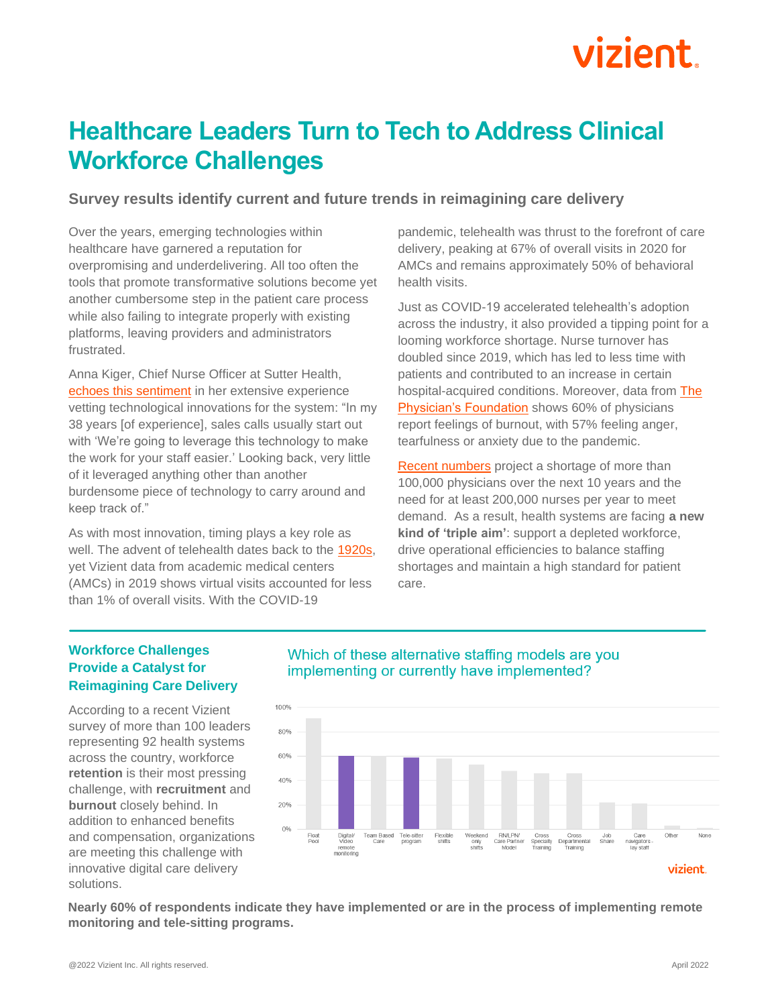# vizient

# **Healthcare Leaders Turn to Tech to Address Clinical Workforce Challenges**

### **Survey results identify current and future trends in reimagining care delivery**

Over the years, emerging technologies within healthcare have garnered a reputation for overpromising and underdelivering. All too often the tools that promote transformative solutions become yet another cumbersome step in the patient care process while also failing to integrate properly with existing platforms, leaving providers and administrators frustrated.

Anna Kiger, Chief Nurse Officer at Sutter Health, [echoes this sentiment](https://sg2.podbean.com/e/interview-with-sutter-health-system-cno-anna-kiger-with-sg2-janelle-kwan/) in her extensive experience vetting technological innovations for the system: "In my 38 years [of experience], sales calls usually start out with 'We're going to leverage this technology to make the work for your staff easier.' Looking back, very little of it leveraged anything other than another burdensome piece of technology to carry around and keep track of."

As with most innovation, timing plays a key role as well. The advent of telehealth dates back to the [1920s,](https://www.smithsonianmag.com/history/telemedicine-predicted-in-1925-124140942/) yet Vizient data from academic medical centers (AMCs) in 2019 shows virtual visits accounted for less than 1% of overall visits. With the COVID-19

pandemic, telehealth was thrust to the forefront of care delivery, peaking at 67% of overall visits in 2020 for AMCs and remains approximately 50% of behavioral health visits.

Just as COVID-19 accelerated telehealth's adoption across the industry, it also provided a tipping point for a looming workforce shortage. Nurse turnover has doubled since 2019, which has led to less time with patients and contributed to an [increase](https://www.ncbi.nlm.nih.gov/pmc/articles/PMC8135287/) in certain hospital-acquired conditions. Moreover, data from The [Physician's Foundation](https://physiciansfoundation.org/physician-and-patient-surveys/the-physicians-foundation-2021-physician-survey/) shows 60% of physicians report feelings of burnout, with 57% feeling anger, tearfulness or anxiety due to the pandemic.

[Recent numbers](https://www.aha.org/fact-sheets/2021-05-26-fact-sheet-strengthening-health-care-workforce) project a shortage of more than 100,000 physicians over the next 10 years and the need for at least 200,000 nurses per year to meet demand. As a result, health systems are facing **a new kind of 'triple aim'**: support a depleted workforce, drive operational efficiencies to balance staffing shortages and maintain a high standard for patient care.

## **Workforce Challenges Provide a Catalyst for Reimagining Care Delivery**

According to a recent Vizient survey of more than 100 leaders representing 92 health systems across the country, workforce **retention** is their most pressing challenge, with **recruitment** and **burnout** closely behind. In addition to enhanced benefits and compensation, organizations are meeting this challenge with innovative digital care delivery solutions.





**Nearly 60% of respondents indicate they have implemented or are in the process of implementing remote monitoring and tele-sitting programs.**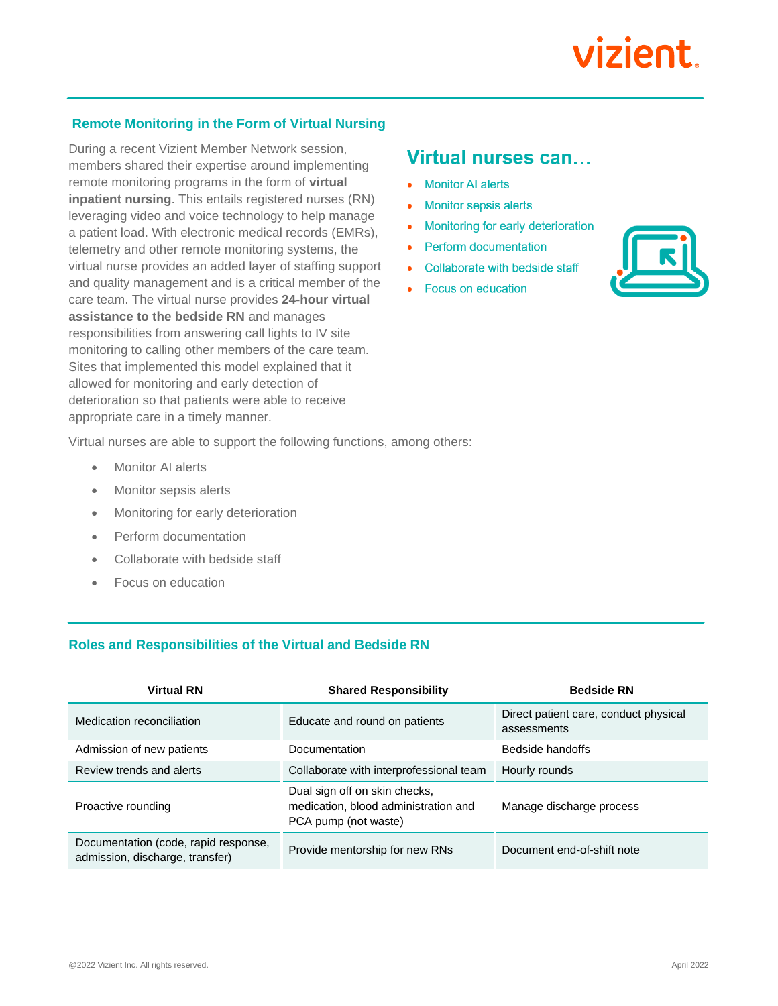## **Remote Monitoring in the Form of Virtual Nursing**

During a recent Vizient Member Network session, members shared their expertise around implementing remote monitoring programs in the form of **virtual inpatient nursing**. This entails registered nurses (RN) leveraging video and voice technology to help manage a patient load. With electronic medical records (EMRs), telemetry and other remote monitoring systems, the virtual nurse provides an added layer of staffing support and quality management and is a critical member of the care team. The virtual nurse provides **24-hour virtual assistance to the bedside RN** and manages responsibilities from answering call lights to IV site monitoring to calling other members of the care team. Sites that implemented this model explained that it allowed for monitoring and early detection of deterioration so that patients were able to receive appropriate care in a timely manner.

# Virtual nurses can...

- Monitor AI alerts
- **Monitor sepsis alerts**
- Monitoring for early deterioration  $\bullet$
- **Perform documentation**  $\bullet$
- Collaborate with bedside staff
- Focus on education



Virtual nurses are able to support the following functions, among others:

- **Monitor AI alerts**
- Monitor sepsis alerts
- Monitoring for early deterioration
- Perform documentation
- Collaborate with bedside staff
- Focus on education

#### **Roles and Responsibilities of the Virtual and Bedside RN**

| <b>Virtual RN</b>                                                       | <b>Shared Responsibility</b>                                                                  | <b>Bedside RN</b>                                    |
|-------------------------------------------------------------------------|-----------------------------------------------------------------------------------------------|------------------------------------------------------|
| Medication reconciliation                                               | Educate and round on patients                                                                 | Direct patient care, conduct physical<br>assessments |
| Admission of new patients                                               | Documentation                                                                                 | Bedside handoffs                                     |
| Review trends and alerts                                                | Collaborate with interprofessional team                                                       | Hourly rounds                                        |
| Proactive rounding                                                      | Dual sign off on skin checks,<br>medication, blood administration and<br>PCA pump (not waste) | Manage discharge process                             |
| Documentation (code, rapid response,<br>admission, discharge, transfer) | Provide mentorship for new RNs                                                                | Document end-of-shift note                           |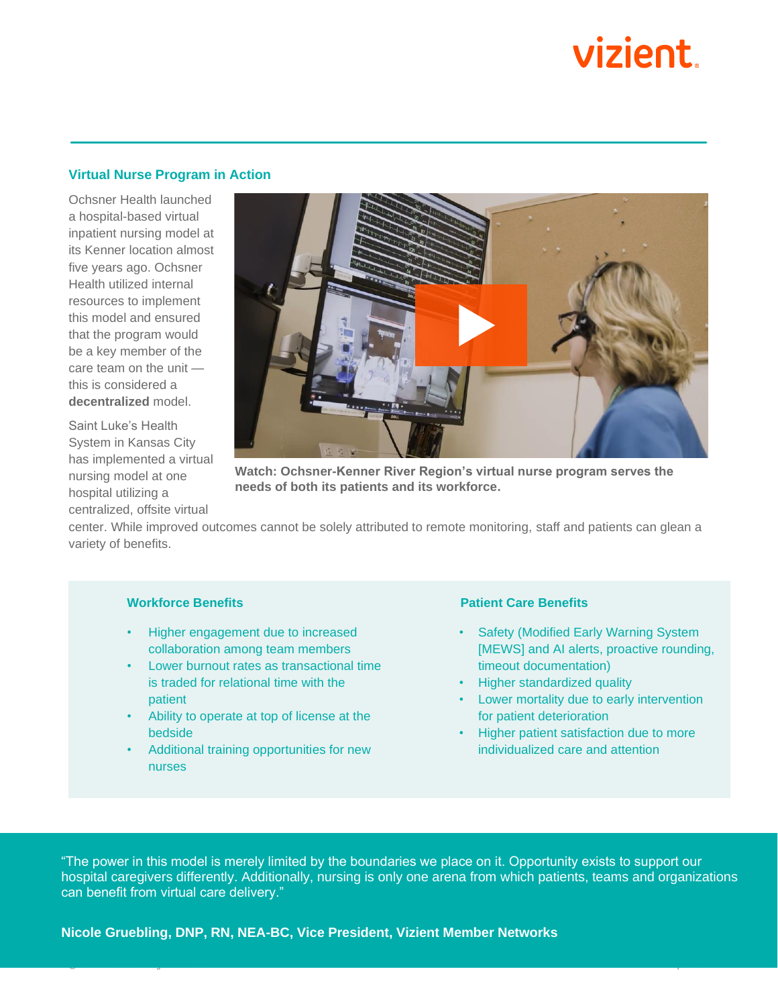# vizient

#### **Virtual Nurse Program in Action**

Ochsner Health launched a hospital-based virtual inpatient nursing model at its Kenner location almost five years ago. Ochsner Health utilized internal resources to implement this model and ensured that the program would be a key member of the care team on the unit this is considered a **decentralized** model.

Saint Luke's Health System in Kansas City has implemented a virtual nursing model at one hospital utilizing a centralized, offsite virtual



**Watch: Ochsner-Kenner River Region's virtual nurse program serves the needs of both its patients and its workforce.**

center. While improved outcomes cannot be solely attributed to remote monitoring, staff and patients can glean a variety of benefits.

#### **Workforce Benefits**

- Higher engagement due to increased collaboration among team members
- Lower burnout rates as transactional time is traded for relational time with the patient
- Ability to operate at top of license at the bedside
- Additional training opportunities for new nurses

#### **Patient Care Benefits**

- Safety (Modified Early Warning System [MEWS] and AI alerts, proactive rounding, timeout documentation)
- Higher standardized quality
- Lower mortality due to early intervention for patient deterioration
- Higher patient satisfaction due to more individualized care and attention

"The power in this model is merely limited by the boundaries we place on it. Opportunity exists to support our hospital caregivers differently. Additionally, nursing is only one arena from which patients, teams and organizations can benefit from virtual care delivery."

@2022 Vizient Inc. All rights reserved. April 2022

**Nicole Gruebling, DNP, RN, NEA-BC, Vice President, Vizient Member Networks**